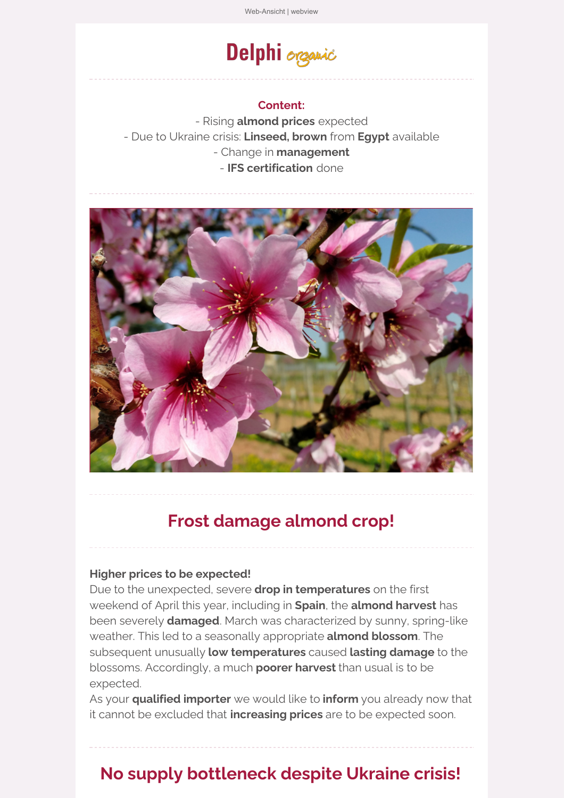# Delphi organic

#### **Content:**

- Rising **almond prices** expected - Due to Ukraine crisis: **[Linseed,](https://ta37b2676.emailsys1a.net/c/36/5212965/0/0/0/308533/679fffbbf6.html) brown** from **Egypt** available - Change in **management** - **IFS certification** done



# **Frost damage almond crop!**

#### **Higher prices to be expected!**

Due to the unexpected, severe **drop in temperatures** on the first weekend of April this year, including in **Spain**, the **almond harvest** has been severely **damaged**. March was characterized by sunny, spring-like weather. This led to a seasonally appropriate **almond blossom**. The subsequent unusually **low temperatures** caused **lasting damage** to the blossoms. Accordingly, a much **poorer harvest** than usual is to be expected.

As your **qualified importer** we would like to **inform** you already now that it cannot be excluded that **increasing prices** are to be expected soon.

# **No supply bottleneck despite Ukraine crisis!**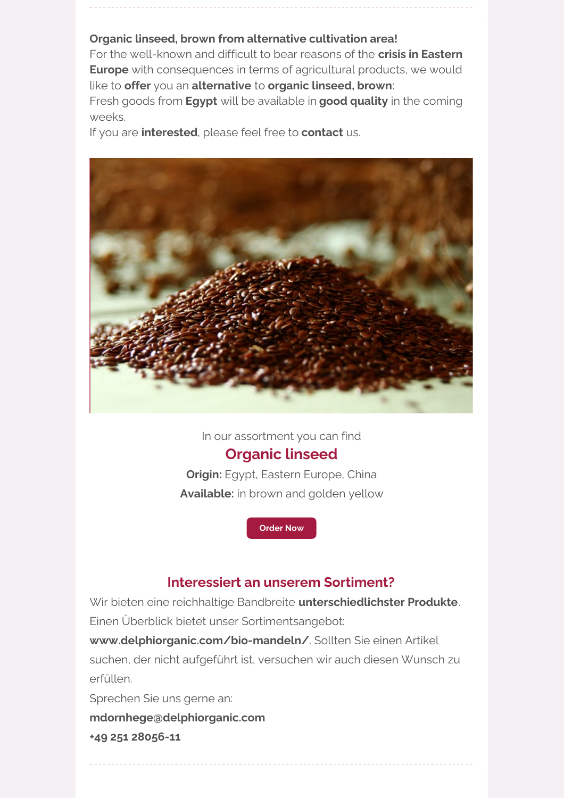#### **[Organic](https://ta37b2676.emailsys1a.net/c/36/5212965/0/0/0/308533/679fffbbf6.html) linseed, brown from alternative cultivation area!**

For the well-known and difficult to bear reasons of the **crisis in Eastern Europe** with consequences in terms of agricultural products, we would like to **offer** you an **alternative** to **organic [linseed,](https://ta37b2676.emailsys1a.net/c/36/5212965/0/0/0/308533/679fffbbf6.html) brown**: Fresh goods from **Egypt** will be available in **good quality** in the coming weeks.

If you are **interested**, please feel free to **contact** us.



In our assortment you can find

### **[Organic](https://ta37b2676.emailsys1a.net/c/36/5212965/0/0/0/308533/679fffbbf6.html) linseed**

**Origin:** Egypt, Eastern Europe, China **Available:** in brown and golden yellow

**[Order](https://ta37b2676.emailsys1a.net/c/36/5212965/0/0/0/308533/679fffbbf6.html) Now**

### **Interessiert an unserem Sortiment?**

Wir bieten eine reichhaltige Bandbreite **unterschiedlichster Produkte**. Einen Überblick bietet unser Sortimentsangebot:

**[www.delphiorganic.com/bio-mandeln/](https://ta37b2676.emailsys1a.net/c/36/5212965/0/0/0/308517/c0f34f7dd6.html)**. Sollten Sie einen Artikel suchen, der nicht aufgeführt ist, versuchen wir auch diesen Wunsch zu erfüllen.

Sprechen Sie uns gerne an:

**[mdornhege@delphiorganic.com](https://ta37b2676.emailsys1a.net/c/36/5212965/0/0/0/308509/88bb1f9484.html)**

**+49 251 28056-11**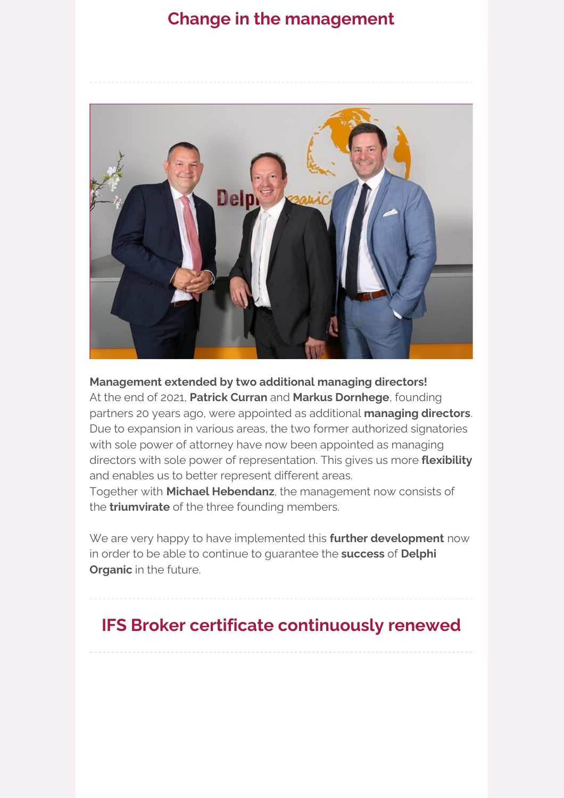## **Change in the management**



### **Management extended by two additional managing directors!**

At the end of 2021, **Patrick Curran** and **Markus Dornhege**, founding partners 20 years ago, were appointed as additional **managing directors**. Due to expansion in various areas, the two former authorized signatories with sole power of attorney have now been appointed as managing directors with sole power of representation. This gives us more **flexibility** and enables us to better represent different areas.

Together with **Michael Hebendanz**, the management now consists of the **triumvirate** of the three founding members.

We are very happy to have implemented this **further development** now in order to be able to continue to [guarantee](https://ta37b2676.emailsys1a.net/c/36/5212965/0/0/0/308537/ff77d4ff5f.html) the **success** of **Delphi Organic** in the future.

# **IFS Broker certificate continuously renewed**